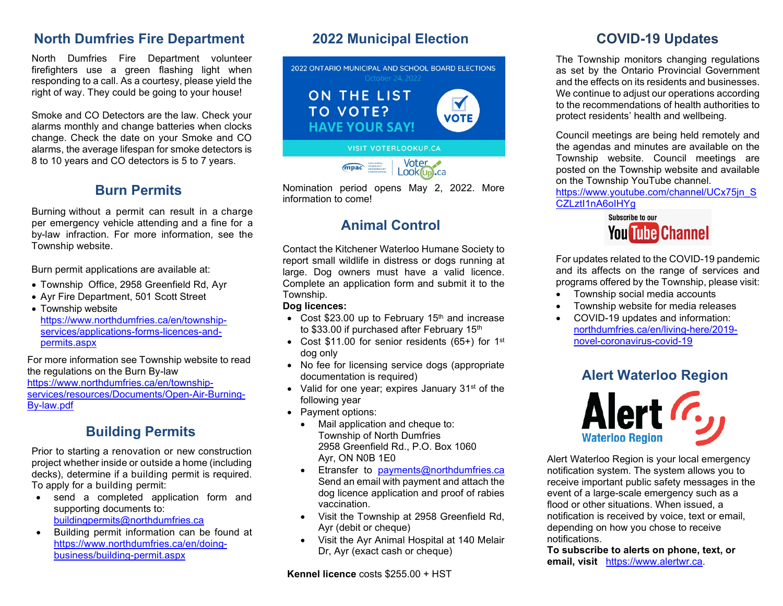### **North Dumfries Fire Department**

North Dumfries Fire Department volunteer firefighters use a green flashing light when responding to a call. As a courtesy, please yield the right of way. They could be going to your house!

Smoke and CO Detectors are the law. Check your alarms monthly and change batteries when clocks change. Check the date on your Smoke and CO alarms, the average lifespan for smoke detectors is 8 to 10 years and CO detectors is 5 to 7 years.

### **Burn Permits**

Burning without a permit can result in a charge per emergency vehicle attending and a fine for a by-law infraction. For more information, see the Township website.

Burn permit applications are available at:

- Township Office, 2958 Greenfield Rd, Ayr
- Ayr Fire Department, 501 Scott Street

• Township website [https://www.northdumfries.ca/en/township](https://www.northdumfries.ca/en/township-services/applications-forms-licences-and-permits.aspx)[services/applications-forms-licences-and](https://www.northdumfries.ca/en/township-services/applications-forms-licences-and-permits.aspx)[permits.aspx](https://www.northdumfries.ca/en/township-services/applications-forms-licences-and-permits.aspx)

For more information see Township website to read the regulations on the Burn By-law [https://www.northdumfries.ca/en/township](https://www.northdumfries.ca/en/township-services/resources/Documents/Open-Air-Burning-By-law.pdf)[services/resources/Documents/Open-Air-Burning-](https://www.northdumfries.ca/en/township-services/resources/Documents/Open-Air-Burning-By-law.pdf)[By-law.pdf](https://www.northdumfries.ca/en/township-services/resources/Documents/Open-Air-Burning-By-law.pdf)

## **Building Permits**

Prior to starting a renovation or new construction project whether inside or outside a home (including decks), determine if a building permit is required. To apply for a building permit:

- send a completed application form and supporting documents to: [buildingpermits@northdumfries.ca](mailto:buildingpermits@northdumfries.ca)
- Building permit information can be found at [https://www.northdumfries.ca/en/doing](https://www.northdumfries.ca/en/doing-business/building-permit.aspx)[business/building-permit.aspx](https://www.northdumfries.ca/en/doing-business/building-permit.aspx)

## **2022 Municipal Election**



Nomination period opens May 2, 2022. More information to come!

# **Animal Control**

Contact the Kitchener Waterloo Humane Society to report small wildlife in distress or dogs running at large. Dog owners must have a valid licence. Complete an application form and submit it to the Township.

#### **Dog licences:**

- Cost  $$23.00$  up to February 15<sup>th</sup> and increase to \$33.00 if purchased after February 15<sup>th</sup>
- Cost \$11.00 for senior residents (65+) for 1<sup>st</sup> dog only
- No fee for licensing service dogs (appropriate documentation is required)
- Valid for one year; expires January 31<sup>st</sup> of the following year
- Payment options:
	- Mail application and cheque to: Township of North Dumfries 2958 Greenfield Rd., P.O. Box 1060 Ayr, ON N0B 1E0
	- Etransfer to [payments@northdumfries.ca](mailto:payments@northdumfries.ca) Send an email with payment and attach the dog licence application and proof of rabies vaccination.
	- Visit the Township at 2958 Greenfield Rd, Ayr (debit or cheque)
	- Visit the Ayr Animal Hospital at 140 Melair Dr, Ayr (exact cash or cheque)

### **COVID-19 Updates**

The Township monitors changing regulations as set by the Ontario Provincial Government and the effects on its residents and businesses. We continue to adjust our operations according to the recommendations of health authorities to protect residents' health and wellbeing.

Council meetings are being held remotely and the agendas and minutes are available on the Township website. Council meetings are posted on the Township website and available on the Township YouTube channel.

[https://www.youtube.com/channel/UCx75jn\\_S](https://www.youtube.com/channel/UCx75jn_SCZLztI1nA6oIHYg) [CZLztI1nA6oIHYg](https://www.youtube.com/channel/UCx75jn_SCZLztI1nA6oIHYg)



For updates related to the COVID-19 pandemic and its affects on the range of services and programs offered by the Township, please visit:

- Township social media accounts
- Township website for media releases
- COVID-19 updates and information: [northdumfries.ca/en/living-here/2019](https://www.northdumfries.ca/en/living-here/2019-novel-coronavirus-covid-19.aspx) [novel-coronavirus-covid-19](https://www.northdumfries.ca/en/living-here/2019-novel-coronavirus-covid-19.aspx)

## **Alert Waterloo Region**



Alert Waterloo Region is your local emergency notification system. The system allows you to receive important public safety messages in the event of a large-scale emergency such as a flood or other situations. When issued, a notification is received by voice, text or email, depending on how you chose to receive notifications.

**To subscribe to alerts on phone, text, or email, visit** [https://www.alertwr.ca.](https://www.alertwr.ca/)